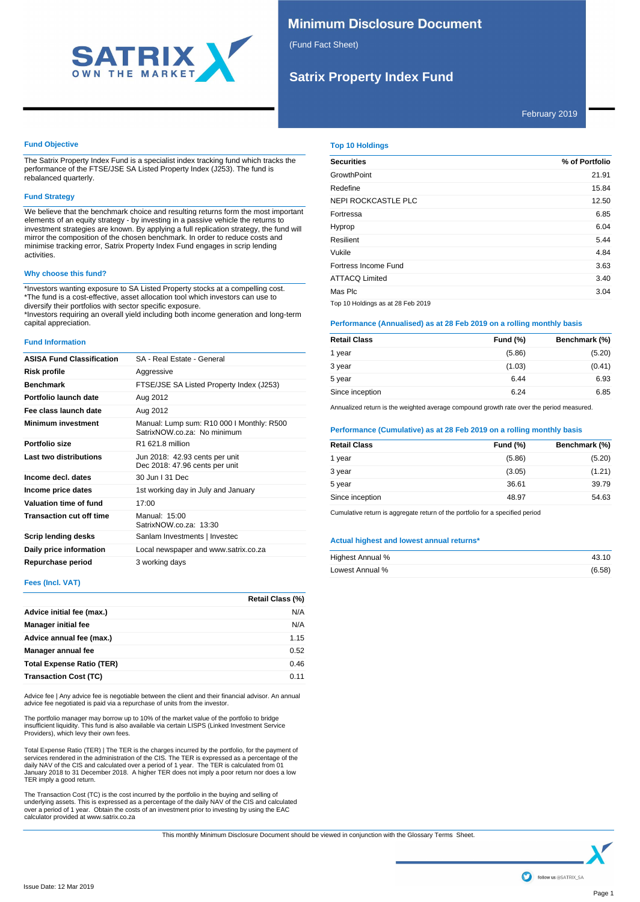

# **Minimum Disclosure Document**

(Fund Fact Sheet)

# **Satrix Property Index Fund**

February 2019

# **Fund Objective**

The Satrix Property Index Fund is a specialist index tracking fund which tracks the performance of the FTSE/JSE SA Listed Property Index (J253). The fund is rebalanced quarterly.

## **Fund Strategy**

We believe that the benchmark choice and resulting returns form the most important elements of an equity strategy - by investing in a passive vehicle the returns to investment strategies are known. By applying a full replication strategy, the fund will mirror the composition of the chosen benchmark. In order to reduce costs and minimise tracking error, Satrix Property Index Fund engages in scrip lending activities.

# **Why choose this fund?**

\*Investors wanting exposure to SA Listed Property stocks at a compelling cost. \*The fund is a cost-effective, asset allocation tool which investors can use to diversify their portfolios with sector specific exposure.

\*Investors requiring an overall yield including both income generation and long-term capital appreciation.

## **Fund Information**

| <b>ASISA Fund Classification</b> | SA - Real Estate - General                                               |
|----------------------------------|--------------------------------------------------------------------------|
| Risk profile                     | Aggressive                                                               |
| <b>Benchmark</b>                 | FTSE/JSE SA Listed Property Index (J253)                                 |
| Portfolio launch date            | Aug 2012                                                                 |
| Fee class launch date            | Aug 2012                                                                 |
| <b>Minimum investment</b>        | Manual: Lump sum: R10 000 I Monthly: R500<br>SatrixNOW.co.za: No minimum |
| Portfolio size                   | R1 621.8 million                                                         |
| Last two distributions           | Jun 2018: 42.93 cents per unit<br>Dec 2018: 47.96 cents per unit         |
| Income decl. dates               | 30 Jun I 31 Dec                                                          |
| Income price dates               | 1st working day in July and January                                      |
| Valuation time of fund           | 17:00                                                                    |
| <b>Transaction cut off time</b>  | Manual: 15:00<br>SatrixNOW.co.za: 13:30                                  |
| Scrip lending desks              | Sanlam Investments   Investec                                            |
| Daily price information          | Local newspaper and www.satrix.co.za                                     |
| Repurchase period                | 3 working days                                                           |

# **Fees (Incl. VAT)**

|                                  | <b>Retail Class (%)</b> |
|----------------------------------|-------------------------|
| Advice initial fee (max.)        | N/A                     |
| <b>Manager initial fee</b>       | N/A                     |
| Advice annual fee (max.)         | 1.15                    |
| Manager annual fee               | 0.52                    |
| <b>Total Expense Ratio (TER)</b> | 0.46                    |
| <b>Transaction Cost (TC)</b>     | 0.11                    |

Advice fee | Any advice fee is negotiable between the client and their financial advisor. An annual advice fee negotiated is paid via a repurchase of units from the investor.

The portfolio manager may borrow up to 10% of the market value of the portfolio to bridge insufficient liquidity. This fund is also available via certain LISPS (Linked Investment Service Providers), which levy their own fees.

Total Expense Ratio (TER) | The TER is the charges incurred by the portfolio, for the payment of services rendered in the administration of the CIS. The TER is expressed as a percentage of the daily NAV of the CIS and calculated over a period of 1 year. The TER is calculated from 01 January 2018 to 31 December 2018. A higher TER does not imply a poor return nor does a low TER imply a good return.

The Transaction Cost (TC) is the cost incurred by the portfolio in the buying and selling of underlying assets. This is expressed as a percentage of the daily NAV of the CIS and calculated over a period of 1 year. Obtain the costs of an investment prior to investing by using the EAC calculator provided at www.satrix.co.za

**Top 10 Holdings**

| <b>Securities</b>                 | % of Portfolio |
|-----------------------------------|----------------|
| <b>GrowthPoint</b>                | 21.91          |
| Redefine                          | 15.84          |
| <b>NEPI ROCKCASTLE PLC</b>        | 12.50          |
| Fortressa                         | 6.85           |
| Hyprop                            | 6.04           |
| Resilient                         | 5.44           |
| Vukile                            | 4.84           |
| Fortress Income Fund              | 3.63           |
| <b>ATTACQ Limited</b>             | 3.40           |
| Mas Plc                           | 3.04           |
| Top 10 Holdings as at 28 Feb 2019 |                |

# **Performance (Annualised) as at 28 Feb 2019 on a rolling monthly basis**

| <b>Retail Class</b> | Fund (%) | Benchmark (%) |
|---------------------|----------|---------------|
| 1 year              | (5.86)   | (5.20)        |
| 3 year              | (1.03)   | (0.41)        |
| 5 year              | 6.44     | 6.93          |
| Since inception     | 6.24     | 6.85          |

Annualized return is the weighted average compound growth rate over the period measured.

# **Performance (Cumulative) as at 28 Feb 2019 on a rolling monthly basis**

| <b>Retail Class</b><br><b>Fund (%)</b><br>(5.86)<br>1 year |               |
|------------------------------------------------------------|---------------|
|                                                            | Benchmark (%) |
|                                                            | (5.20)        |
| (3.05)<br>3 year                                           | (1.21)        |
| 36.61<br>5 year                                            | 39.79         |
| Since inception<br>48.97                                   | 54.63         |

Cumulative return is aggregate return of the portfolio for a specified period

# **Actual highest and lowest annual returns\***

| Highest Annual % | 43.10  |
|------------------|--------|
| Lowest Annual %  | (6.58) |

This monthly Minimum Disclosure Document should be viewed in conjunction with the Glossary Terms Sheet.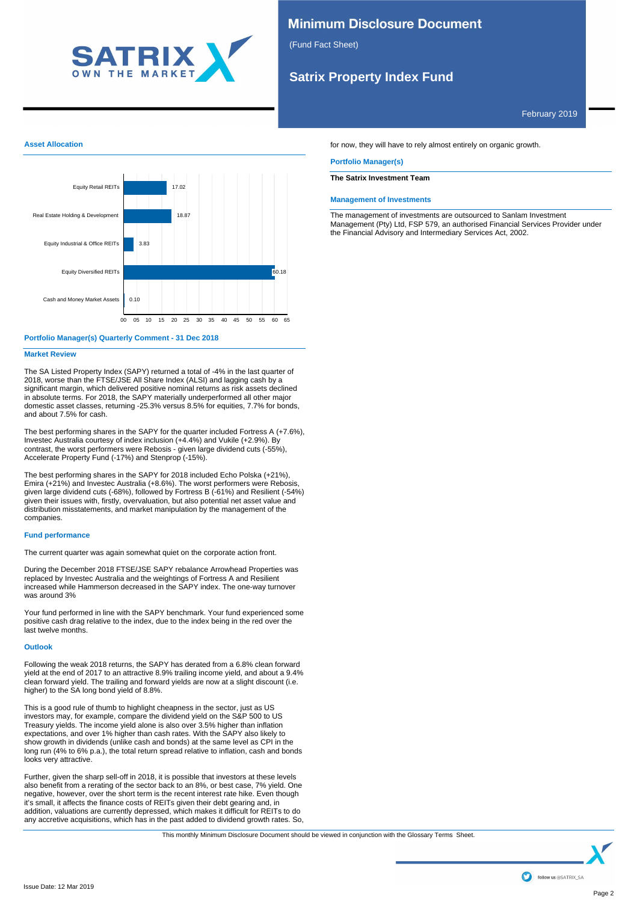

# **Minimum Disclosure Document**

(Fund Fact Sheet)

# **Satrix Property Index Fund**

February 2019



# **Portfolio Manager(s) Quarterly Comment - 31 Dec 2018**

## **Market Review**

The SA Listed Property Index (SAPY) returned a total of -4% in the last quarter of 2018, worse than the FTSE/JSE All Share Index (ALSI) and lagging cash by a significant margin, which delivered positive nominal returns as risk assets declined in absolute terms. For 2018, the SAPY materially underperformed all other major domestic asset classes, returning -25.3% versus 8.5% for equities, 7.7% for bonds, and about 7.5% for cash.

The best performing shares in the SAPY for the quarter included Fortress A (+7.6%), Investec Australia courtesy of index inclusion (+4.4%) and Vukile (+2.9%). By contrast, the worst performers were Rebosis - given large dividend cuts (-55%), Accelerate Property Fund (-17%) and Stenprop (-15%).

The best performing shares in the SAPY for 2018 included Echo Polska (+21%), Emira (+21%) and Investec Australia (+8.6%). The worst performers were Rebosis, given large dividend cuts (-68%), followed by Fortress B (-61%) and Resilient (-54%) given their issues with, firstly, overvaluation, but also potential net asset value and distribution misstatements, and market manipulation by the management of the companies.

# **Fund performance**

The current quarter was again somewhat quiet on the corporate action front.

During the December 2018 FTSE/JSE SAPY rebalance Arrowhead Properties was replaced by Investec Australia and the weightings of Fortress A and Resilient increased while Hammerson decreased in the SAPY index. The one-way turnover was around 3%

Your fund performed in line with the SAPY benchmark. Your fund experienced some positive cash drag relative to the index, due to the index being in the red over the last twelve months.

## **Outlook**

Following the weak 2018 returns, the SAPY has derated from a 6.8% clean forward yield at the end of 2017 to an attractive 8.9% trailing income yield, and about a 9.4% clean forward yield. The trailing and forward yields are now at a slight discount (i.e. higher) to the SA long bond yield of 8.8%.

This is a good rule of thumb to highlight cheapness in the sector, just as US investors may, for example, compare the dividend yield on the S&P 500 to US Treasury yields. The income yield alone is also over 3.5% higher than inflation expectations, and over 1% higher than cash rates. With the SAPY also likely to show growth in dividends (unlike cash and bonds) at the same level as CPI in the long run (4% to 6% p.a.), the total return spread relative to inflation, cash and bonds looks very attractive.

Further, given the sharp sell-off in 2018, it is possible that investors at these levels also benefit from a rerating of the sector back to an 8%, or best case, 7% yield. One negative, however, over the short term is the recent interest rate hike. Even though it's small, it affects the finance costs of REITs given their debt gearing and, in addition, valuations are currently depressed, which makes it difficult for REITs to do any accretive acquisitions, which has in the past added to dividend growth rates. So, for now, they will have to rely almost entirely on organic growth.

### **Portfolio Manager(s)**

# **The Satrix Investment Team**

#### **Management of Investments**

The management of investments are outsourced to Sanlam Investment Management (Pty) Ltd, FSP 579, an authorised Financial Services Provider under the Financial Advisory and Intermediary Services Act, 2002.

This monthly Minimum Disclosure Document should be viewed in conjunction with the Glossary Terms Sheet.